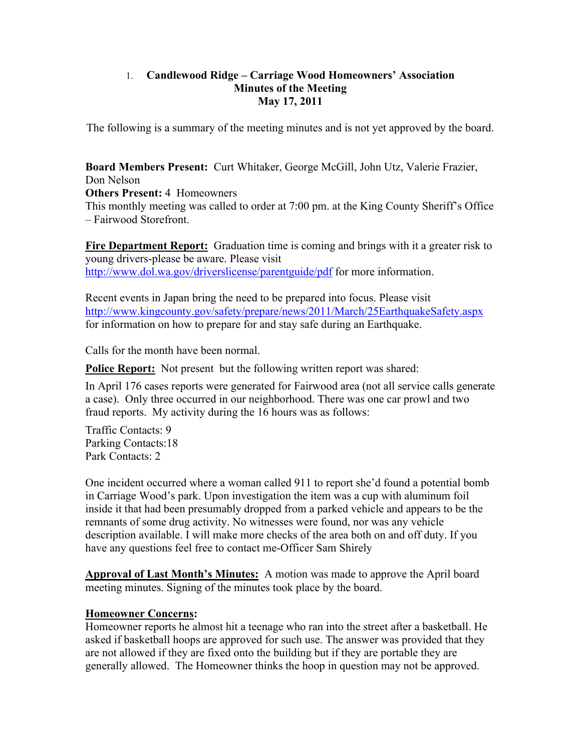### 1. **Candlewood Ridge – Carriage Wood Homeowners' Association Minutes of the Meeting May 17, 2011**

The following is a summary of the meeting minutes and is not yet approved by the board.

**Board Members Present:** Curt Whitaker, George McGill, John Utz, Valerie Frazier, Don Nelson

**Others Present: 4 Homeowners** 

This monthly meeting was called to order at 7:00 pm. at the King County Sheriff's Office – Fairwood Storefront.

Fire Department Report: Graduation time is coming and brings with it a greater risk to young drivers-please be aware. Please visit http://www.dol.wa.gov/driverslicense/parentguide/pdf for more information.

Recent events in Japan bring the need to be prepared into focus. Please visit http://www.kingcounty.gov/safety/prepare/news/2011/March/25EarthquakeSafety.aspx for information on how to prepare for and stay safe during an Earthquake.

Calls for the month have been normal.

**Police Report:** Not present but the following written report was shared:

In April 176 cases reports were generated for Fairwood area (not all service calls generate a case). Only three occurred in our neighborhood. There was one car prowl and two fraud reports. My activity during the 16 hours was as follows:

Traffic Contacts: 9 Parking Contacts:18 Park Contacts: 2

One incident occurred where a woman called 911 to report she'd found a potential bomb in Carriage Wood's park. Upon investigation the item was a cup with aluminum foil inside it that had been presumably dropped from a parked vehicle and appears to be the remnants of some drug activity. No witnesses were found, nor was any vehicle description available. I will make more checks of the area both on and off duty. If you have any questions feel free to contact me-Officer Sam Shirely

**Approval of Last Month's Minutes:** A motion was made to approve the April board meeting minutes. Signing of the minutes took place by the board.

# **Homeowner Concerns:**

Homeowner reports he almost hit a teenage who ran into the street after a basketball. He asked if basketball hoops are approved for such use. The answer was provided that they are not allowed if they are fixed onto the building but if they are portable they are generally allowed. The Homeowner thinks the hoop in question may not be approved.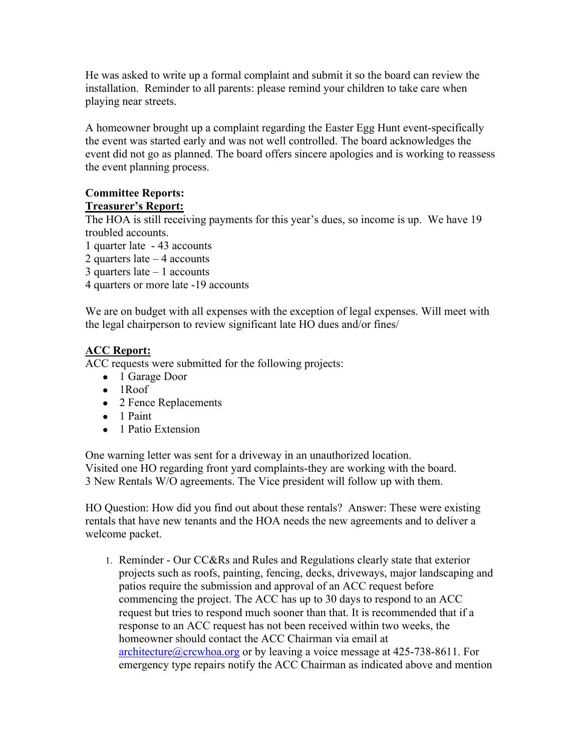He was asked to write up a formal complaint and submit it so the board can review the installation. Reminder to all parents: please remind your children to take care when playing near streets.

A homeowner brought up a complaint regarding the Easter Egg Hunt event-specifically the event was started early and was not well controlled. The board acknowledges the event did not go as planned. The board offers sincere apologies and is working to reassess the event planning process.

#### **Committee Reports: Treasurer's Report:**

The HOA is still receiving payments for this year's dues, so income is up. We have 19 troubled accounts.

1 quarter late - 43 accounts

2 quarters late – 4 accounts

3 quarters late – 1 accounts

4 quarters or more late -19 accounts

We are on budget with all expenses with the exception of legal expenses. Will meet with the legal chairperson to review significant late HO dues and/or fines/

# **ACC Report:**

ACC requests were submitted for the following projects:

- 1 Garage Door
- 1Roof
- 2 Fence Replacements
- 1 Paint
- 1 Patio Extension

One warning letter was sent for a driveway in an unauthorized location. Visited one HO regarding front yard complaints-they are working with the board. 3 New Rentals W/O agreements. The Vice president will follow up with them.

HO Question: How did you find out about these rentals? Answer: These were existing rentals that have new tenants and the HOA needs the new agreements and to deliver a welcome packet.

1. Reminder - Our CC&Rs and Rules and Regulations clearly state that exterior projects such as roofs, painting, fencing, decks, driveways, major landscaping and patios require the submission and approval of an ACC request before commencing the project. The ACC has up to 30 days to respond to an ACC request but tries to respond much sooner than that. It is recommended that if a response to an ACC request has not been received within two weeks, the homeowner should contact the ACC Chairman via email at architecture@crcwhoa.org or by leaving a voice message at 425-738-8611. For emergency type repairs notify the ACC Chairman as indicated above and mention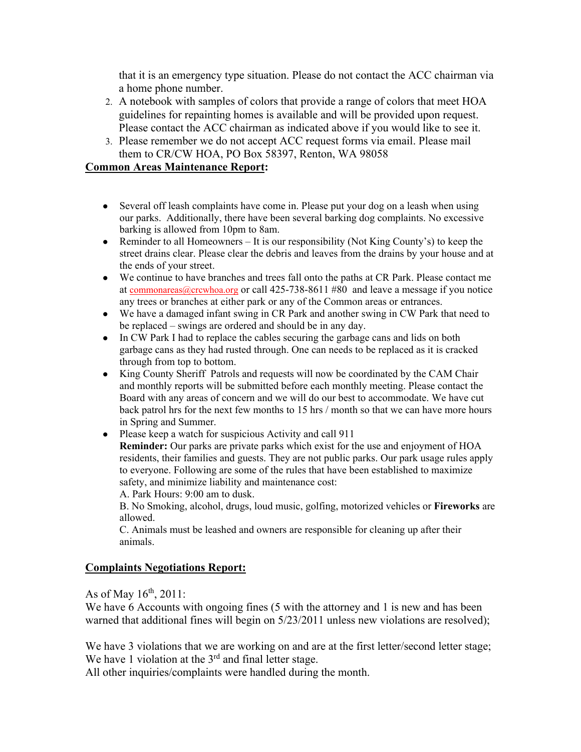that it is an emergency type situation. Please do not contact the ACC chairman via a home phone number.

- 2. A notebook with samples of colors that provide a range of colors that meet HOA guidelines for repainting homes is available and will be provided upon request. Please contact the ACC chairman as indicated above if you would like to see it.
- 3. Please remember we do not accept ACC request forms via email. Please mail them to CR/CW HOA, PO Box 58397, Renton, WA 98058

### **Common Areas Maintenance Report:**

- Several off leash complaints have come in. Please put your dog on a leash when using our parks. Additionally, there have been several barking dog complaints. No excessive barking is allowed from 10pm to 8am.
- Reminder to all Homeowners It is our responsibility (Not King County's) to keep the street drains clear. Please clear the debris and leaves from the drains by your house and at the ends of your street.
- We continue to have branches and trees fall onto the paths at CR Park. Please contact me at commonareas@crcwhoa.org or call 425-738-8611 #80 and leave a message if you notice any trees or branches at either park or any of the Common areas or entrances.
- We have a damaged infant swing in CR Park and another swing in CW Park that need to be replaced – swings are ordered and should be in any day.
- In CW Park I had to replace the cables securing the garbage cans and lids on both garbage cans as they had rusted through. One can needs to be replaced as it is cracked through from top to bottom.
- King County Sheriff Patrols and requests will now be coordinated by the CAM Chair and monthly reports will be submitted before each monthly meeting. Please contact the Board with any areas of concern and we will do our best to accommodate. We have cut back patrol hrs for the next few months to 15 hrs / month so that we can have more hours in Spring and Summer.

• Please keep a watch for suspicious Activity and call 911 **Reminder:** Our parks are private parks which exist for the use and enjoyment of HOA residents, their families and guests. They are not public parks. Our park usage rules apply to everyone. Following are some of the rules that have been established to maximize safety, and minimize liability and maintenance cost:

A. Park Hours: 9:00 am to dusk.

B. No Smoking, alcohol, drugs, loud music, golfing, motorized vehicles or **Fireworks** are allowed.

C. Animals must be leashed and owners are responsible for cleaning up after their animals.

# **Complaints Negotiations Report:**

As of May  $16^{th}$ , 2011:

We have 6 Accounts with ongoing fines (5 with the attorney and 1 is new and has been warned that additional fines will begin on  $5/23/2011$  unless new violations are resolved);

We have 3 violations that we are working on and are at the first letter/second letter stage; We have 1 violation at the  $3<sup>rd</sup>$  and final letter stage.

All other inquiries/complaints were handled during the month.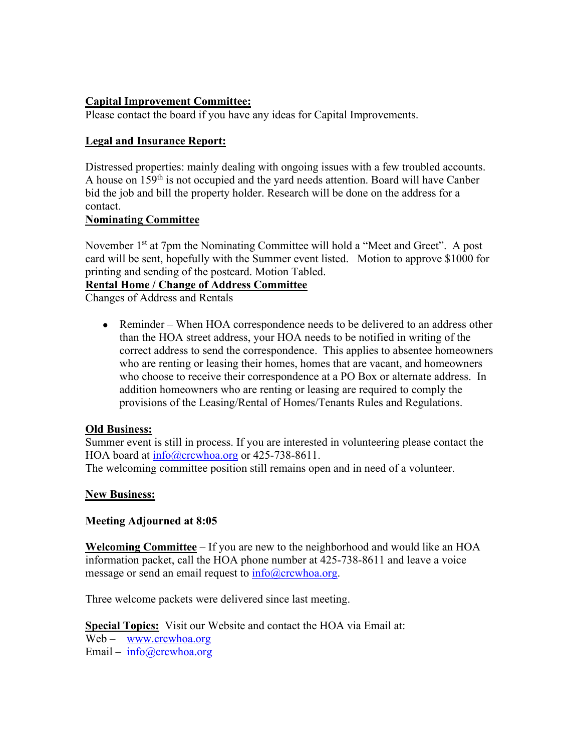### **Capital Improvement Committee:**

Please contact the board if you have any ideas for Capital Improvements.

# **Legal and Insurance Report:**

Distressed properties: mainly dealing with ongoing issues with a few troubled accounts. A house on  $159<sup>th</sup>$  is not occupied and the yard needs attention. Board will have Canber bid the job and bill the property holder. Research will be done on the address for a contact.

#### **Nominating Committee**

November 1<sup>st</sup> at 7pm the Nominating Committee will hold a "Meet and Greet". A post card will be sent, hopefully with the Summer event listed. Motion to approve \$1000 for printing and sending of the postcard. Motion Tabled.

### **Rental Home / Change of Address Committee**

Changes of Address and Rentals

• Reminder – When HOA correspondence needs to be delivered to an address other than the HOA street address, your HOA needs to be notified in writing of the correct address to send the correspondence. This applies to absentee homeowners who are renting or leasing their homes, homes that are vacant, and homeowners who choose to receive their correspondence at a PO Box or alternate address. In addition homeowners who are renting or leasing are required to comply the provisions of the Leasing/Rental of Homes/Tenants Rules and Regulations.

#### **Old Business:**

Summer event is still in process. If you are interested in volunteering please contact the HOA board at  $info@crewhoa.org$  or 425-738-8611.

The welcoming committee position still remains open and in need of a volunteer.

# **New Business:**

#### **Meeting Adjourned at 8:05**

**Welcoming Committee** – If you are new to the neighborhood and would like an HOA information packet, call the HOA phone number at 425-738-8611 and leave a voice message or send an email request to  $info@crcwhoa.org$ .

Three welcome packets were delivered since last meeting.

**Special Topics:** Visit our Website and contact the HOA via Email at:

Web – www.crcwhoa.org

Email – info@crcwhoa.org